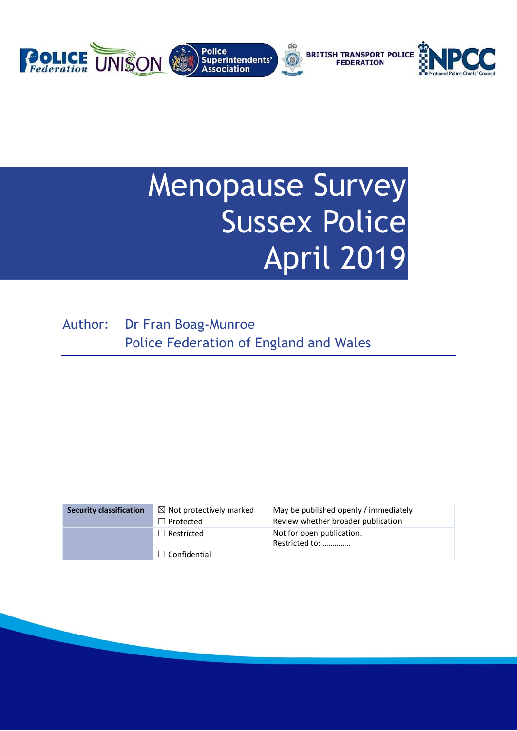

# Menopause Survey Sussex Police April 2019

Author: Dr Fran Boag-Munroe Police Federation of England and Wales

| <b>Security classification</b> | $\boxtimes$ Not protectively marked | May be published openly / immediately       |
|--------------------------------|-------------------------------------|---------------------------------------------|
|                                | $\Box$ Protected                    | Review whether broader publication          |
|                                | $\Box$ Restricted                   | Not for open publication.<br>Restricted to: |
|                                | $\Box$ Confidential                 |                                             |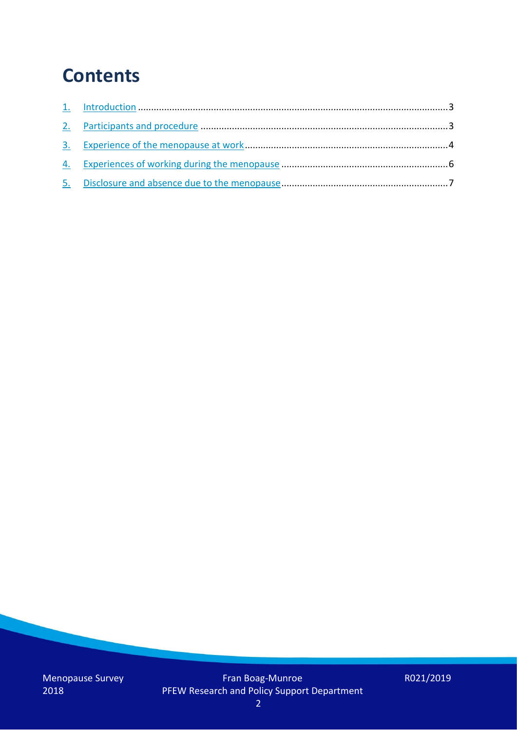### **Contents**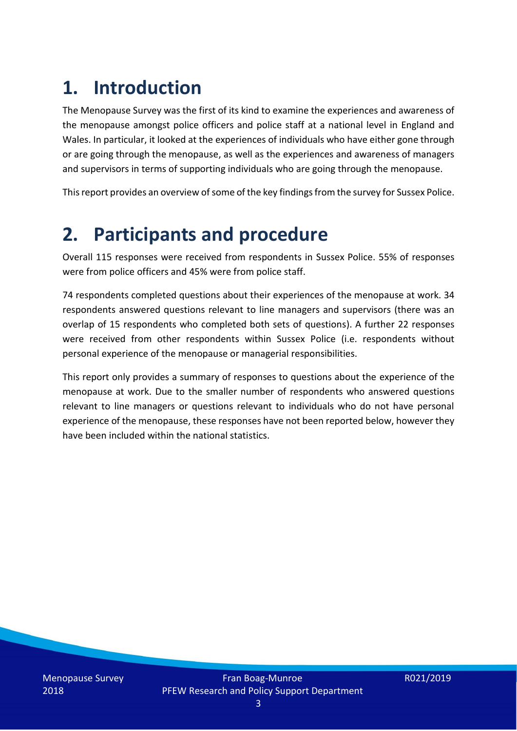## **1. Introduction**

The Menopause Survey was the first of its kind to examine the experiences and awareness of the menopause amongst police officers and police staff at a national level in England and Wales. In particular, it looked at the experiences of individuals who have either gone through or are going through the menopause, as well as the experiences and awareness of managers and supervisors in terms of supporting individuals who are going through the menopause.

This report provides an overview of some of the key findings from the survey for Sussex Police.

### **2. Participants and procedure**

Overall 115 responses were received from respondents in Sussex Police. 55% of responses were from police officers and 45% were from police staff.

74 respondents completed questions about their experiences of the menopause at work. 34 respondents answered questions relevant to line managers and supervisors (there was an overlap of 15 respondents who completed both sets of questions). A further 22 responses were received from other respondents within Sussex Police (i.e. respondents without personal experience of the menopause or managerial responsibilities.

This report only provides a summary of responses to questions about the experience of the menopause at work. Due to the smaller number of respondents who answered questions relevant to line managers or questions relevant to individuals who do not have personal experience of the menopause, these responses have not been reported below, however they have been included within the national statistics.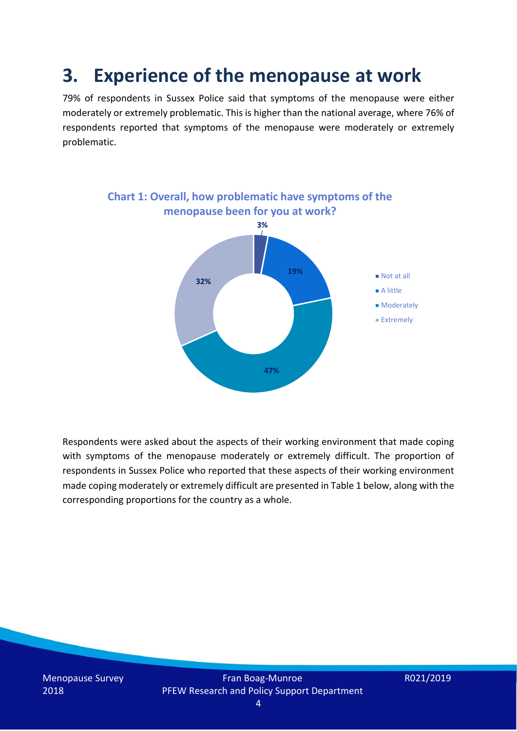### **3. Experience of the menopause at work**

79% of respondents in Sussex Police said that symptoms of the menopause were either moderately or extremely problematic. This is higher than the national average, where 76% of respondents reported that symptoms of the menopause were moderately or extremely problematic.



Respondents were asked about the aspects of their working environment that made coping with symptoms of the menopause moderately or extremely difficult. The proportion of respondents in Sussex Police who reported that these aspects of their working environment made coping moderately or extremely difficult are presented in Table 1 below, along with the corresponding proportions for the country as a whole.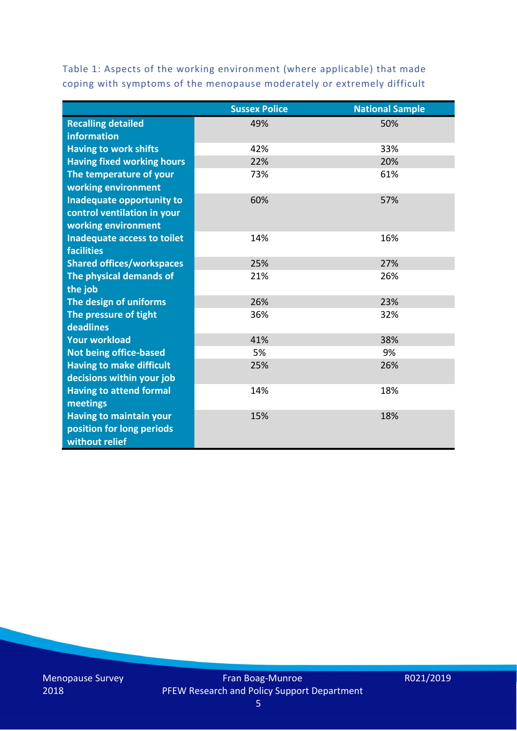Table 1: Aspects of the working environment (where applicable) that made coping with symptoms of the menopause moderately or extremely difficult

|                                   | <b>Sussex Police</b> | <b>National Sample</b> |
|-----------------------------------|----------------------|------------------------|
| <b>Recalling detailed</b>         | 49%                  | 50%                    |
| information                       |                      |                        |
| <b>Having to work shifts</b>      | 42%                  | 33%                    |
| <b>Having fixed working hours</b> | 22%                  | 20%                    |
| The temperature of your           | 73%                  | 61%                    |
| working environment               |                      |                        |
| Inadequate opportunity to         | 60%                  | 57%                    |
| control ventilation in your       |                      |                        |
| working environment               |                      |                        |
| Inadequate access to toilet       | 14%                  | 16%                    |
| <b>facilities</b>                 |                      |                        |
| <b>Shared offices/workspaces</b>  | 25%                  | 27%                    |
| The physical demands of           | 21%                  | 26%                    |
| the job                           |                      |                        |
| The design of uniforms            | 26%                  | 23%                    |
| The pressure of tight             | 36%                  | 32%                    |
| deadlines                         |                      |                        |
| <b>Your workload</b>              | 41%                  | 38%                    |
| <b>Not being office-based</b>     | 5%                   | 9%                     |
| <b>Having to make difficult</b>   | 25%                  | 26%                    |
| decisions within your job         |                      |                        |
| <b>Having to attend formal</b>    | 14%                  | 18%                    |
| meetings                          |                      |                        |
| <b>Having to maintain your</b>    | 15%                  | 18%                    |
| position for long periods         |                      |                        |
| without relief                    |                      |                        |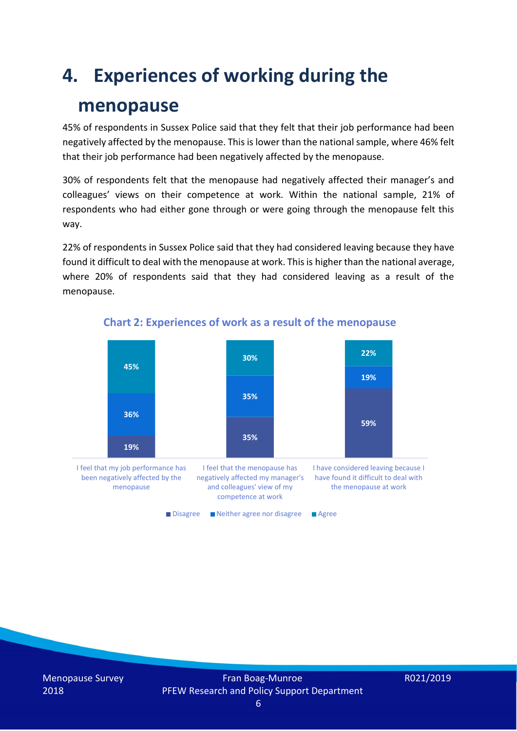### **4. Experiences of working during the**

### **menopause**

45% of respondents in Sussex Police said that they felt that their job performance had been negatively affected by the menopause. This is lower than the national sample, where 46% felt that their job performance had been negatively affected by the menopause.

30% of respondents felt that the menopause had negatively affected their manager's and colleagues' views on their competence at work. Within the national sample, 21% of respondents who had either gone through or were going through the menopause felt this way.

22% of respondents in Sussex Police said that they had considered leaving because they have found it difficult to deal with the menopause at work. This is higher than the national average, where 20% of respondents said that they had considered leaving as a result of the menopause.



#### **Chart 2: Experiences of work as a result of the menopause**